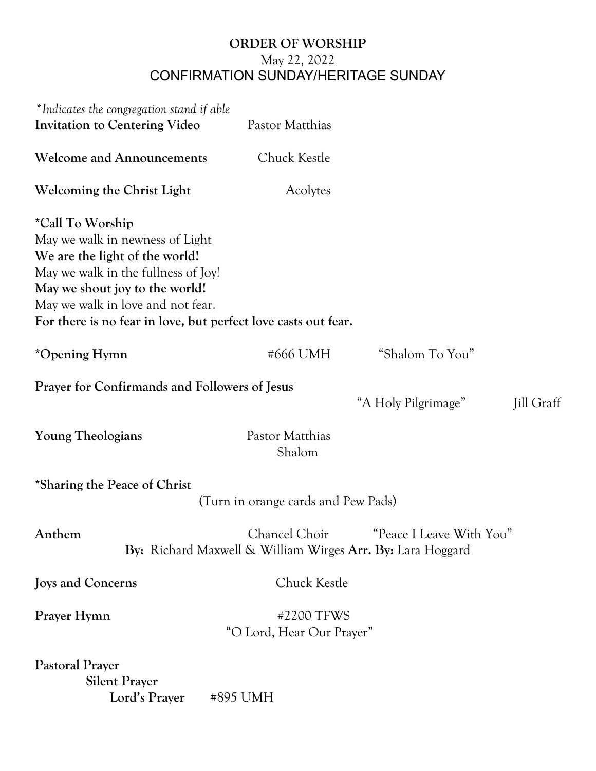## **ORDER OF WORSHIP** May 22, 2022 CONFIRMATION SUNDAY/HERITAGE SUNDAY

| *Indicates the congregation stand if able<br>Invitation to Centering Video                                                                                                                                                                                            | Pastor Matthias                                                             |                          |            |
|-----------------------------------------------------------------------------------------------------------------------------------------------------------------------------------------------------------------------------------------------------------------------|-----------------------------------------------------------------------------|--------------------------|------------|
| <b>Welcome and Announcements</b>                                                                                                                                                                                                                                      | Chuck Kestle                                                                |                          |            |
| <b>Welcoming the Christ Light</b>                                                                                                                                                                                                                                     | Acolytes                                                                    |                          |            |
| *Call To Worship<br>May we walk in newness of Light<br>We are the light of the world!<br>May we walk in the fullness of Joy!<br>May we shout joy to the world!<br>May we walk in love and not fear.<br>For there is no fear in love, but perfect love casts out fear. |                                                                             |                          |            |
| *Opening Hymn                                                                                                                                                                                                                                                         | #666 UMH                                                                    | "Shalom To You"          |            |
| <b>Prayer for Confirmands and Followers of Jesus</b>                                                                                                                                                                                                                  |                                                                             | "A Holy Pilgrimage"      | Jill Graff |
| <b>Young Theologians</b>                                                                                                                                                                                                                                              | Pastor Matthias<br>Shalom                                                   |                          |            |
| *Sharing the Peace of Christ                                                                                                                                                                                                                                          | (Turn in orange cards and Pew Pads)                                         |                          |            |
| Anthem                                                                                                                                                                                                                                                                | Chancel Choir<br>By: Richard Maxwell & William Wirges Arr. By: Lara Hoggard | "Peace I Leave With You" |            |
| <b>Joys and Concerns</b>                                                                                                                                                                                                                                              | Chuck Kestle                                                                |                          |            |
| Prayer Hymn                                                                                                                                                                                                                                                           | #2200 TFWS<br>"O Lord, Hear Our Prayer"                                     |                          |            |
| <b>Pastoral Prayer</b><br><b>Silent Prayer</b><br>Lord's Prayer                                                                                                                                                                                                       | #895 UMH                                                                    |                          |            |